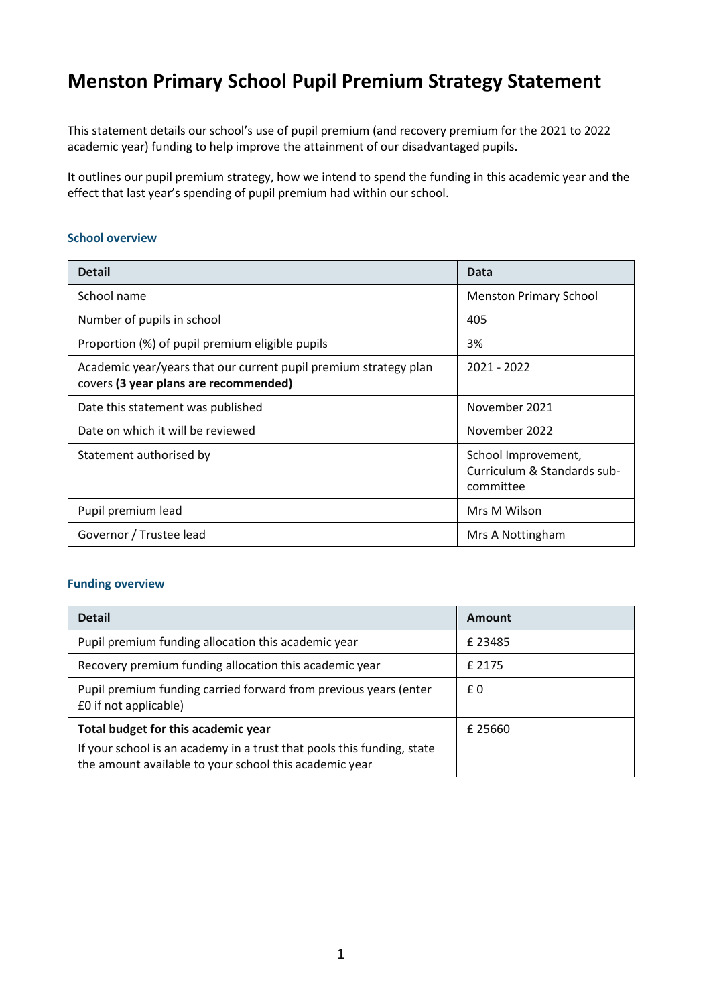## **Menston Primary School Pupil Premium Strategy Statement**

This statement details our school's use of pupil premium (and recovery premium for the 2021 to 2022 academic year) funding to help improve the attainment of our disadvantaged pupils.

It outlines our pupil premium strategy, how we intend to spend the funding in this academic year and the effect that last year's spending of pupil premium had within our school.

#### **School overview**

| <b>Detail</b>                                                                                             | Data                                                            |  |
|-----------------------------------------------------------------------------------------------------------|-----------------------------------------------------------------|--|
| School name                                                                                               | <b>Menston Primary School</b>                                   |  |
| Number of pupils in school                                                                                | 405                                                             |  |
| Proportion (%) of pupil premium eligible pupils                                                           | 3%                                                              |  |
| Academic year/years that our current pupil premium strategy plan<br>covers (3 year plans are recommended) | $2021 - 2022$                                                   |  |
| Date this statement was published                                                                         | November 2021                                                   |  |
| Date on which it will be reviewed                                                                         | November 2022                                                   |  |
| Statement authorised by                                                                                   | School Improvement,<br>Curriculum & Standards sub-<br>committee |  |
| Pupil premium lead                                                                                        | Mrs M Wilson                                                    |  |
| Governor / Trustee lead                                                                                   | Mrs A Nottingham                                                |  |

#### **Funding overview**

| <b>Detail</b>                                                                                                                    | Amount |
|----------------------------------------------------------------------------------------------------------------------------------|--------|
| Pupil premium funding allocation this academic year                                                                              | £23485 |
| Recovery premium funding allocation this academic year                                                                           | £ 2175 |
| Pupil premium funding carried forward from previous years (enter<br>£0 if not applicable)                                        | £0     |
| Total budget for this academic year                                                                                              | £25660 |
| If your school is an academy in a trust that pools this funding, state<br>the amount available to your school this academic year |        |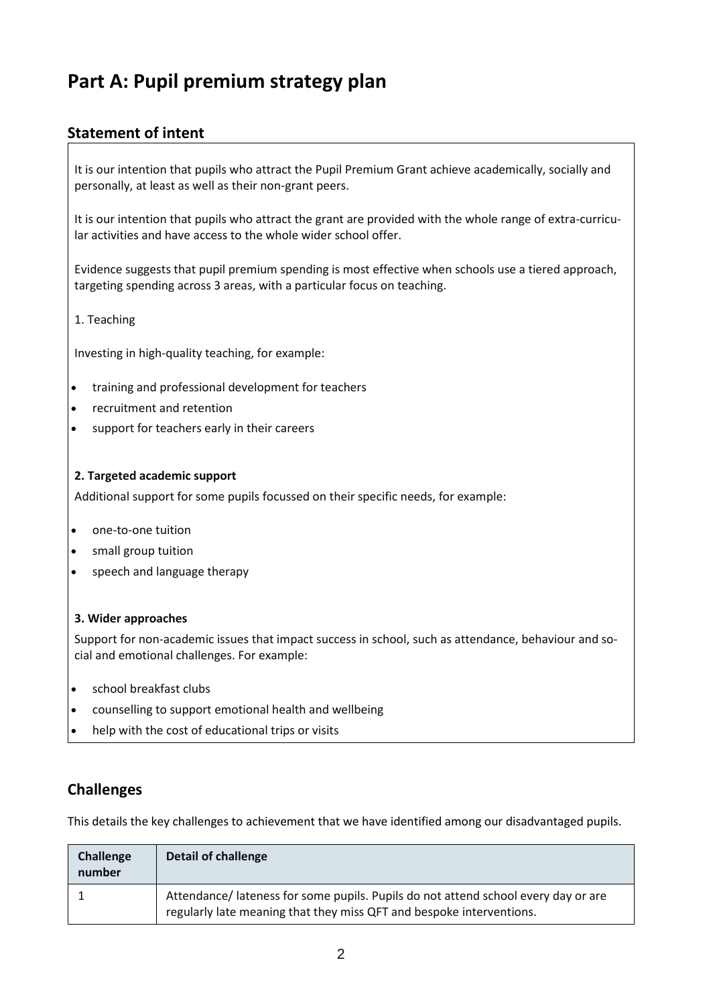# **Part A: Pupil premium strategy plan**

## **Statement of intent**

It is our intention that pupils who attract the Pupil Premium Grant achieve academically, socially and personally, at least as well as their non-grant peers.

It is our intention that pupils who attract the grant are provided with the whole range of extra-curricular activities and have access to the whole wider school offer.

Evidence suggests that pupil premium spending is most effective when schools use a tiered approach, targeting spending across 3 areas, with a particular focus on teaching.

### 1. Teaching

Investing in high-quality teaching, for example:

- training and professional development for teachers
- recruitment and retention
- support for teachers early in their careers

#### **2. Targeted academic support**

Additional support for some pupils focussed on their specific needs, for example:

- one-to-one tuition
- small group tuition
- speech and language therapy

#### **3. Wider approaches**

Support for non-academic issues that impact success in school, such as attendance, behaviour and social and emotional challenges. For example:

- school breakfast clubs
- counselling to support emotional health and wellbeing
- help with the cost of educational trips or visits

### **Challenges**

This details the key challenges to achievement that we have identified among our disadvantaged pupils.

| <b>Challenge</b><br>number | Detail of challenge                                                                                                                                        |
|----------------------------|------------------------------------------------------------------------------------------------------------------------------------------------------------|
|                            | Attendance/ lateness for some pupils. Pupils do not attend school every day or are<br>regularly late meaning that they miss QFT and bespoke interventions. |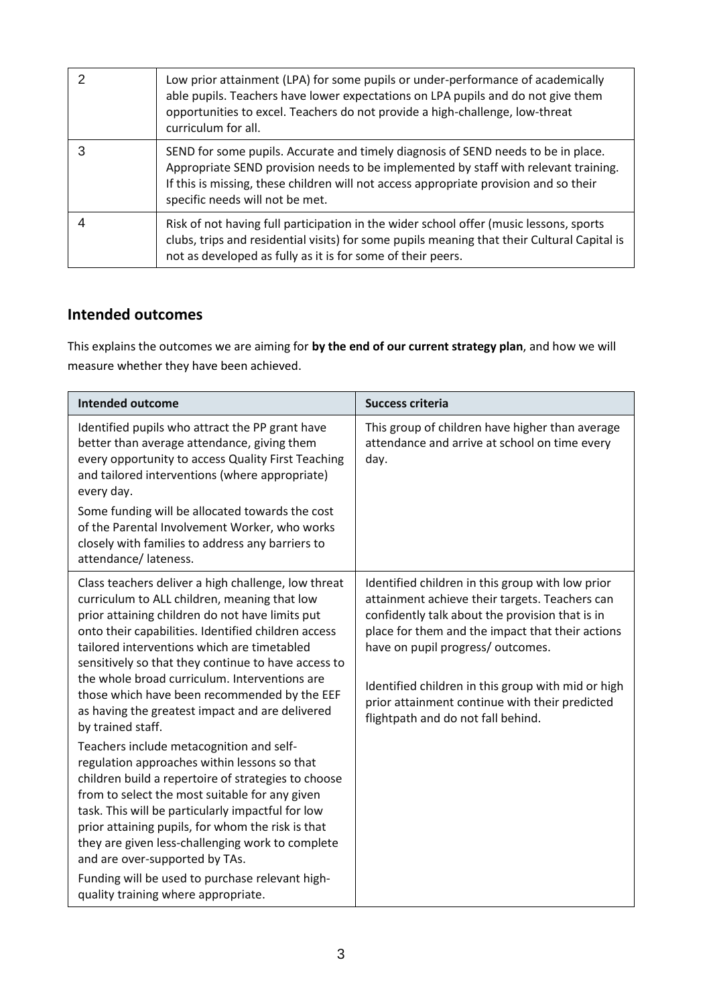| Low prior attainment (LPA) for some pupils or under-performance of academically<br>able pupils. Teachers have lower expectations on LPA pupils and do not give them<br>opportunities to excel. Teachers do not provide a high-challenge, low-threat<br>curriculum for all.                           |
|------------------------------------------------------------------------------------------------------------------------------------------------------------------------------------------------------------------------------------------------------------------------------------------------------|
| SEND for some pupils. Accurate and timely diagnosis of SEND needs to be in place.<br>Appropriate SEND provision needs to be implemented by staff with relevant training.<br>If this is missing, these children will not access appropriate provision and so their<br>specific needs will not be met. |
| Risk of not having full participation in the wider school offer (music lessons, sports<br>clubs, trips and residential visits) for some pupils meaning that their Cultural Capital is<br>not as developed as fully as it is for some of their peers.                                                 |

## **Intended outcomes**

This explains the outcomes we are aiming for **by the end of our current strategy plan**, and how we will measure whether they have been achieved.

| <b>Intended outcome</b>                                                                                                                                                                                                                                                                                                                                                                                                                                                                                                                                                                                                                                                                                                                                                                                                                                                                                                                                                                     | <b>Success criteria</b>                                                                                                                                                                                                                                                                                                                                                                      |
|---------------------------------------------------------------------------------------------------------------------------------------------------------------------------------------------------------------------------------------------------------------------------------------------------------------------------------------------------------------------------------------------------------------------------------------------------------------------------------------------------------------------------------------------------------------------------------------------------------------------------------------------------------------------------------------------------------------------------------------------------------------------------------------------------------------------------------------------------------------------------------------------------------------------------------------------------------------------------------------------|----------------------------------------------------------------------------------------------------------------------------------------------------------------------------------------------------------------------------------------------------------------------------------------------------------------------------------------------------------------------------------------------|
| Identified pupils who attract the PP grant have<br>better than average attendance, giving them<br>every opportunity to access Quality First Teaching<br>and tailored interventions (where appropriate)<br>every day.<br>Some funding will be allocated towards the cost<br>of the Parental Involvement Worker, who works<br>closely with families to address any barriers to<br>attendance/lateness.                                                                                                                                                                                                                                                                                                                                                                                                                                                                                                                                                                                        | This group of children have higher than average<br>attendance and arrive at school on time every<br>day.                                                                                                                                                                                                                                                                                     |
| Class teachers deliver a high challenge, low threat<br>curriculum to ALL children, meaning that low<br>prior attaining children do not have limits put<br>onto their capabilities. Identified children access<br>tailored interventions which are timetabled<br>sensitively so that they continue to have access to<br>the whole broad curriculum. Interventions are<br>those which have been recommended by the EEF<br>as having the greatest impact and are delivered<br>by trained staff.<br>Teachers include metacognition and self-<br>regulation approaches within lessons so that<br>children build a repertoire of strategies to choose<br>from to select the most suitable for any given<br>task. This will be particularly impactful for low<br>prior attaining pupils, for whom the risk is that<br>they are given less-challenging work to complete<br>and are over-supported by TAs.<br>Funding will be used to purchase relevant high-<br>quality training where appropriate. | Identified children in this group with low prior<br>attainment achieve their targets. Teachers can<br>confidently talk about the provision that is in<br>place for them and the impact that their actions<br>have on pupil progress/ outcomes.<br>Identified children in this group with mid or high<br>prior attainment continue with their predicted<br>flightpath and do not fall behind. |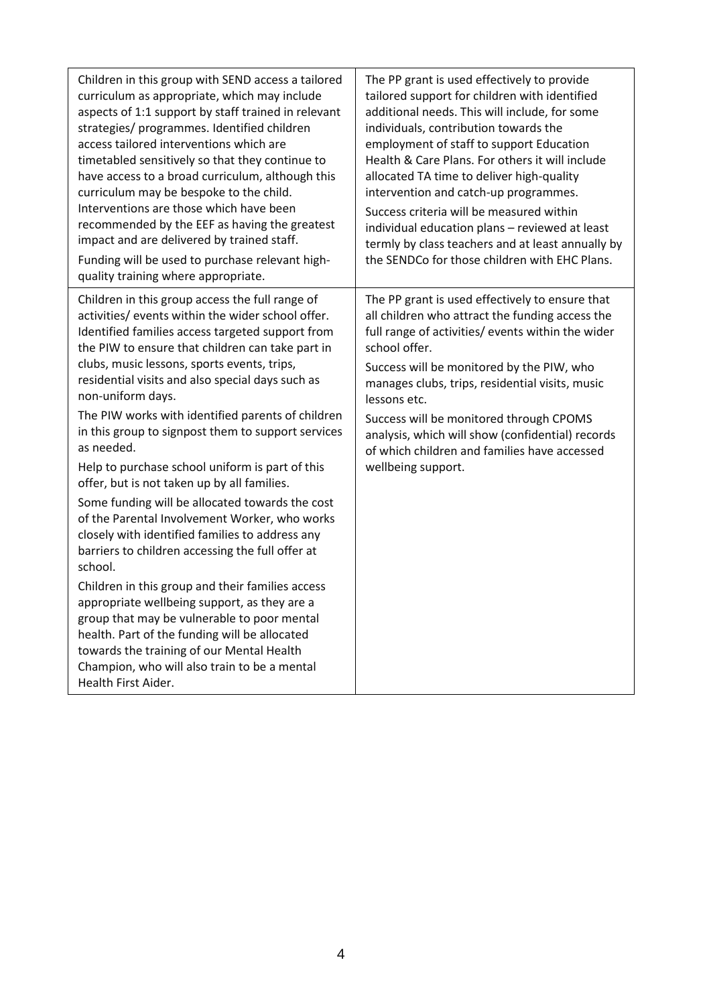| Children in this group with SEND access a tailored<br>curriculum as appropriate, which may include<br>aspects of 1:1 support by staff trained in relevant<br>strategies/ programmes. Identified children<br>access tailored interventions which are<br>timetabled sensitively so that they continue to<br>have access to a broad curriculum, although this<br>curriculum may be bespoke to the child.<br>Interventions are those which have been<br>recommended by the EEF as having the greatest<br>impact and are delivered by trained staff.<br>Funding will be used to purchase relevant high-<br>quality training where appropriate.                                                                                                                                                                                                                                                                                                                                                                                                                                                                     | The PP grant is used effectively to provide<br>tailored support for children with identified<br>additional needs. This will include, for some<br>individuals, contribution towards the<br>employment of staff to support Education<br>Health & Care Plans. For others it will include<br>allocated TA time to deliver high-quality<br>intervention and catch-up programmes.<br>Success criteria will be measured within<br>individual education plans - reviewed at least<br>termly by class teachers and at least annually by<br>the SENDCo for those children with EHC Plans. |
|---------------------------------------------------------------------------------------------------------------------------------------------------------------------------------------------------------------------------------------------------------------------------------------------------------------------------------------------------------------------------------------------------------------------------------------------------------------------------------------------------------------------------------------------------------------------------------------------------------------------------------------------------------------------------------------------------------------------------------------------------------------------------------------------------------------------------------------------------------------------------------------------------------------------------------------------------------------------------------------------------------------------------------------------------------------------------------------------------------------|---------------------------------------------------------------------------------------------------------------------------------------------------------------------------------------------------------------------------------------------------------------------------------------------------------------------------------------------------------------------------------------------------------------------------------------------------------------------------------------------------------------------------------------------------------------------------------|
| Children in this group access the full range of<br>activities/ events within the wider school offer.<br>Identified families access targeted support from<br>the PIW to ensure that children can take part in<br>clubs, music lessons, sports events, trips,<br>residential visits and also special days such as<br>non-uniform days.<br>The PIW works with identified parents of children<br>in this group to signpost them to support services<br>as needed.<br>Help to purchase school uniform is part of this<br>offer, but is not taken up by all families.<br>Some funding will be allocated towards the cost<br>of the Parental Involvement Worker, who works<br>closely with identified families to address any<br>barriers to children accessing the full offer at<br>school.<br>Children in this group and their families access<br>appropriate wellbeing support, as they are a<br>group that may be vulnerable to poor mental<br>health. Part of the funding will be allocated<br>towards the training of our Mental Health<br>Champion, who will also train to be a mental<br>Health First Aider. | The PP grant is used effectively to ensure that<br>all children who attract the funding access the<br>full range of activities/ events within the wider<br>school offer.<br>Success will be monitored by the PIW, who<br>manages clubs, trips, residential visits, music<br>lessons etc.<br>Success will be monitored through CPOMS<br>analysis, which will show (confidential) records<br>of which children and families have accessed<br>wellbeing support.                                                                                                                   |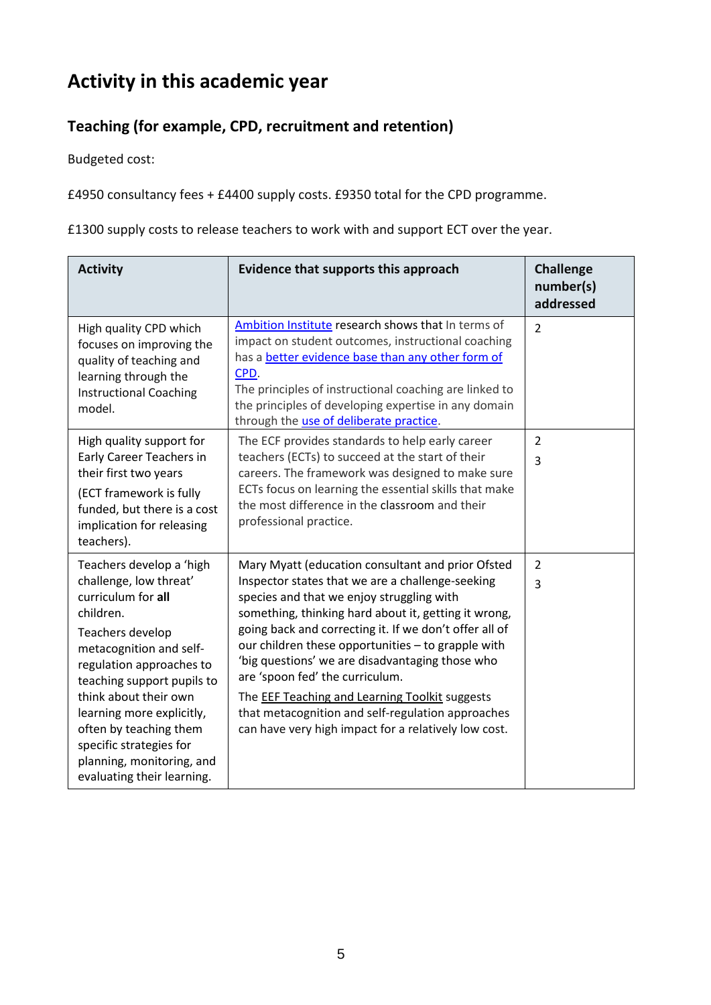# **Activity in this academic year**

## **Teaching (for example, CPD, recruitment and retention)**

Budgeted cost:

£4950 consultancy fees + £4400 supply costs. £9350 total for the CPD programme.

£1300 supply costs to release teachers to work with and support ECT over the year.

| <b>Activity</b>                                                                                                                                                                                                                                                                                                                                                      | Evidence that supports this approach                                                                                                                                                                                                                                                                                                                                                                                                                                                                                                                                                   | <b>Challenge</b><br>number(s)<br>addressed |
|----------------------------------------------------------------------------------------------------------------------------------------------------------------------------------------------------------------------------------------------------------------------------------------------------------------------------------------------------------------------|----------------------------------------------------------------------------------------------------------------------------------------------------------------------------------------------------------------------------------------------------------------------------------------------------------------------------------------------------------------------------------------------------------------------------------------------------------------------------------------------------------------------------------------------------------------------------------------|--------------------------------------------|
| High quality CPD which<br>focuses on improving the<br>quality of teaching and<br>learning through the<br><b>Instructional Coaching</b><br>model.                                                                                                                                                                                                                     | Ambition Institute research shows that In terms of<br>impact on student outcomes, instructional coaching<br>has a better evidence base than any other form of<br>CPD.<br>The principles of instructional coaching are linked to<br>the principles of developing expertise in any domain<br>through the use of deliberate practice.                                                                                                                                                                                                                                                     | $\overline{2}$                             |
| High quality support for<br>Early Career Teachers in<br>their first two years<br>(ECT framework is fully<br>funded, but there is a cost<br>implication for releasing<br>teachers).                                                                                                                                                                                   | The ECF provides standards to help early career<br>teachers (ECTs) to succeed at the start of their<br>careers. The framework was designed to make sure<br>ECTs focus on learning the essential skills that make<br>the most difference in the classroom and their<br>professional practice.                                                                                                                                                                                                                                                                                           | $\overline{2}$<br>$\overline{3}$           |
| Teachers develop a 'high<br>challenge, low threat'<br>curriculum for all<br>children.<br>Teachers develop<br>metacognition and self-<br>regulation approaches to<br>teaching support pupils to<br>think about their own<br>learning more explicitly,<br>often by teaching them<br>specific strategies for<br>planning, monitoring, and<br>evaluating their learning. | Mary Myatt (education consultant and prior Ofsted<br>Inspector states that we are a challenge-seeking<br>species and that we enjoy struggling with<br>something, thinking hard about it, getting it wrong,<br>going back and correcting it. If we don't offer all of<br>our children these opportunities - to grapple with<br>'big questions' we are disadvantaging those who<br>are 'spoon fed' the curriculum.<br>The <b>EEF Teaching and Learning Toolkit</b> suggests<br>that metacognition and self-regulation approaches<br>can have very high impact for a relatively low cost. | $\overline{2}$<br>3                        |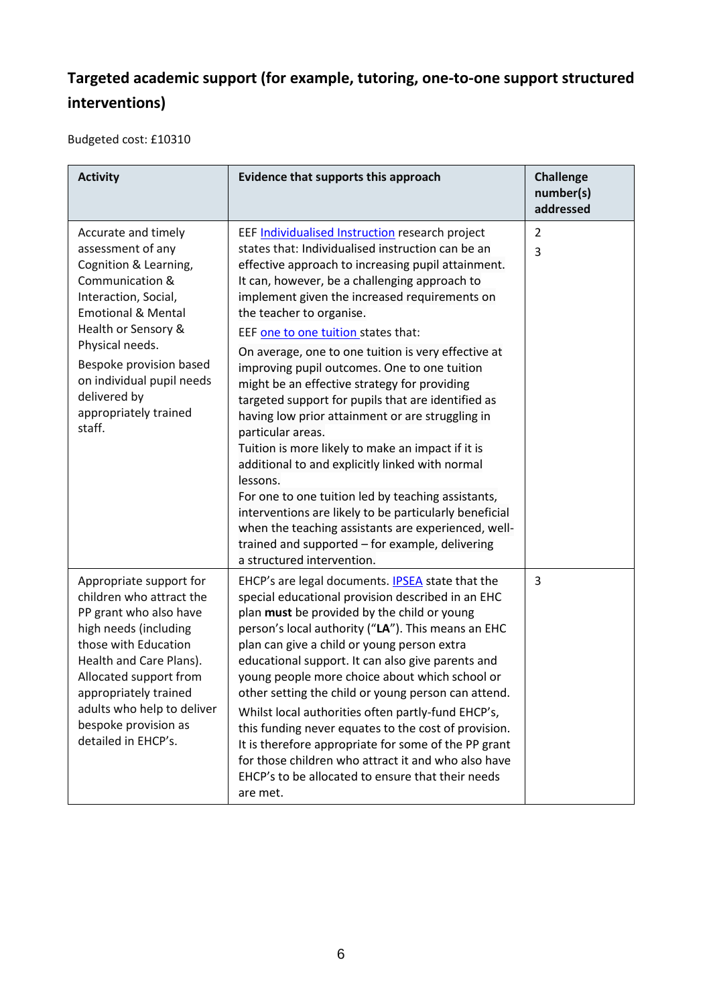## **Targeted academic support (for example, tutoring, one-to-one support structured interventions)**

Budgeted cost: £10310

| <b>Activity</b>                                                                                                                                                                                                                                                                                    | Evidence that supports this approach                                                                                                                                                                                                                                                                                                                                                                                                                                                                                                                                                                                                                                                                                                                                                                                                                                                                                                                                                              | <b>Challenge</b><br>number(s)<br>addressed |
|----------------------------------------------------------------------------------------------------------------------------------------------------------------------------------------------------------------------------------------------------------------------------------------------------|---------------------------------------------------------------------------------------------------------------------------------------------------------------------------------------------------------------------------------------------------------------------------------------------------------------------------------------------------------------------------------------------------------------------------------------------------------------------------------------------------------------------------------------------------------------------------------------------------------------------------------------------------------------------------------------------------------------------------------------------------------------------------------------------------------------------------------------------------------------------------------------------------------------------------------------------------------------------------------------------------|--------------------------------------------|
| Accurate and timely<br>assessment of any<br>Cognition & Learning,<br>Communication &<br>Interaction, Social,<br><b>Emotional &amp; Mental</b><br>Health or Sensory &<br>Physical needs.<br>Bespoke provision based<br>on individual pupil needs<br>delivered by<br>appropriately trained<br>staff. | EEF Individualised Instruction research project<br>states that: Individualised instruction can be an<br>effective approach to increasing pupil attainment.<br>It can, however, be a challenging approach to<br>implement given the increased requirements on<br>the teacher to organise.<br>EEF one to one tuition states that:<br>On average, one to one tuition is very effective at<br>improving pupil outcomes. One to one tuition<br>might be an effective strategy for providing<br>targeted support for pupils that are identified as<br>having low prior attainment or are struggling in<br>particular areas.<br>Tuition is more likely to make an impact if it is<br>additional to and explicitly linked with normal<br>lessons.<br>For one to one tuition led by teaching assistants,<br>interventions are likely to be particularly beneficial<br>when the teaching assistants are experienced, well-<br>trained and supported - for example, delivering<br>a structured intervention. | $\overline{2}$<br>3                        |
| Appropriate support for<br>children who attract the<br>PP grant who also have<br>high needs (including<br>those with Education<br>Health and Care Plans).<br>Allocated support from<br>appropriately trained<br>adults who help to deliver<br>bespoke provision as<br>detailed in EHCP's.          | EHCP's are legal documents. <b>IPSEA</b> state that the<br>special educational provision described in an EHC<br>plan must be provided by the child or young<br>person's local authority ("LA"). This means an EHC<br>plan can give a child or young person extra<br>educational support. It can also give parents and<br>young people more choice about which school or<br>other setting the child or young person can attend.<br>Whilst local authorities often partly-fund EHCP's,<br>this funding never equates to the cost of provision.<br>It is therefore appropriate for some of the PP grant<br>for those children who attract it and who also have<br>EHCP's to be allocated to ensure that their needs<br>are met.                                                                                                                                                                                                                                                                      | 3                                          |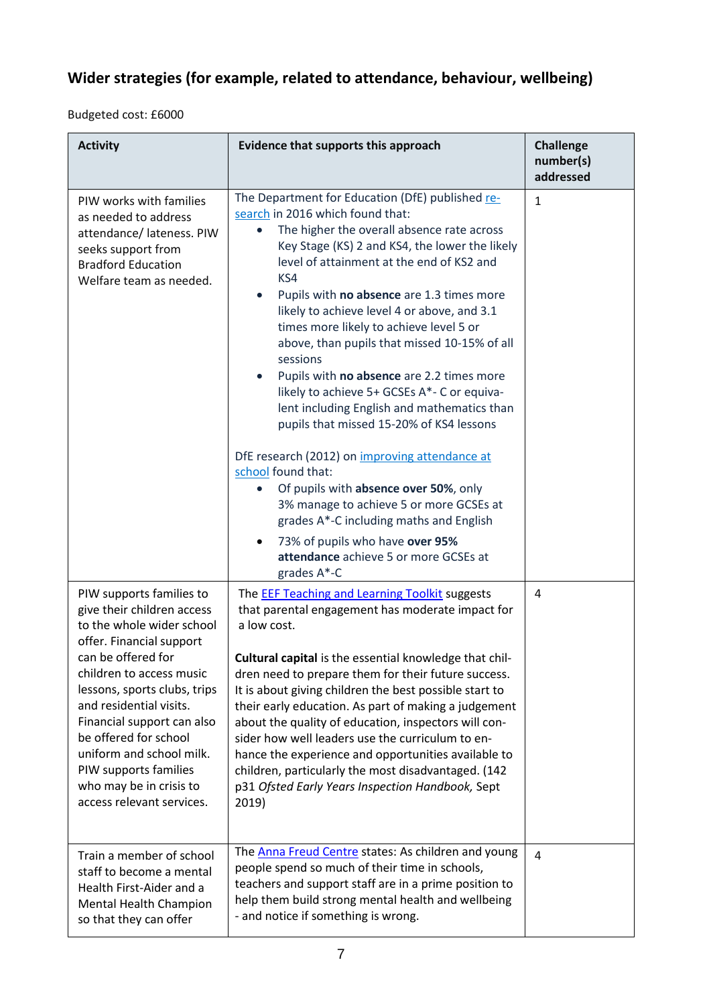## **Wider strategies (for example, related to attendance, behaviour, wellbeing)**

Budgeted cost: £6000

| <b>Activity</b>                                                                                                                                                                                                                                                                                                                                                                                  | Evidence that supports this approach                                                                                                                                                                                                                                                                                                                                                                                                                                                                                                                                                                                                                                                                                                                                                                                                                                                                                                                           | <b>Challenge</b><br>number(s)<br>addressed |  |
|--------------------------------------------------------------------------------------------------------------------------------------------------------------------------------------------------------------------------------------------------------------------------------------------------------------------------------------------------------------------------------------------------|----------------------------------------------------------------------------------------------------------------------------------------------------------------------------------------------------------------------------------------------------------------------------------------------------------------------------------------------------------------------------------------------------------------------------------------------------------------------------------------------------------------------------------------------------------------------------------------------------------------------------------------------------------------------------------------------------------------------------------------------------------------------------------------------------------------------------------------------------------------------------------------------------------------------------------------------------------------|--------------------------------------------|--|
| PIW works with families<br>as needed to address<br>attendance/ lateness. PIW<br>seeks support from<br><b>Bradford Education</b><br>Welfare team as needed.                                                                                                                                                                                                                                       | The Department for Education (DfE) published re-<br>search in 2016 which found that:<br>The higher the overall absence rate across<br>Key Stage (KS) 2 and KS4, the lower the likely<br>level of attainment at the end of KS2 and<br>KS4<br>Pupils with no absence are 1.3 times more<br>$\bullet$<br>likely to achieve level 4 or above, and 3.1<br>times more likely to achieve level 5 or<br>above, than pupils that missed 10-15% of all<br>sessions<br>Pupils with no absence are 2.2 times more<br>$\bullet$<br>likely to achieve 5+ GCSEs A*- C or equiva-<br>lent including English and mathematics than<br>pupils that missed 15-20% of KS4 lessons<br>DfE research (2012) on improving attendance at<br>school found that:<br>Of pupils with absence over 50%, only<br>3% manage to achieve 5 or more GCSEs at<br>grades A*-C including maths and English<br>73% of pupils who have over 95%<br>attendance achieve 5 or more GCSEs at<br>grades A*-C | $\mathbf{1}$                               |  |
| PIW supports families to<br>give their children access<br>to the whole wider school<br>offer. Financial support<br>can be offered for<br>children to access music<br>lessons, sports clubs, trips<br>and residential visits.<br>Financial support can also<br>be offered for school<br>uniform and school milk.<br>PIW supports families<br>who may be in crisis to<br>access relevant services. | The <b>EEF Teaching and Learning Toolkit</b> suggests<br>that parental engagement has moderate impact for<br>a low cost.<br>Cultural capital is the essential knowledge that chil-<br>dren need to prepare them for their future success.<br>It is about giving children the best possible start to<br>their early education. As part of making a judgement<br>about the quality of education, inspectors will con-<br>sider how well leaders use the curriculum to en-<br>hance the experience and opportunities available to<br>children, particularly the most disadvantaged. (142<br>p31 Ofsted Early Years Inspection Handbook, Sept<br>2019)                                                                                                                                                                                                                                                                                                             | 4                                          |  |
| Train a member of school<br>staff to become a mental<br>Health First-Aider and a<br>Mental Health Champion<br>so that they can offer                                                                                                                                                                                                                                                             | The Anna Freud Centre states: As children and young<br>people spend so much of their time in schools,<br>teachers and support staff are in a prime position to<br>help them build strong mental health and wellbeing<br>- and notice if something is wrong.                                                                                                                                                                                                                                                                                                                                                                                                                                                                                                                                                                                                                                                                                                    | 4                                          |  |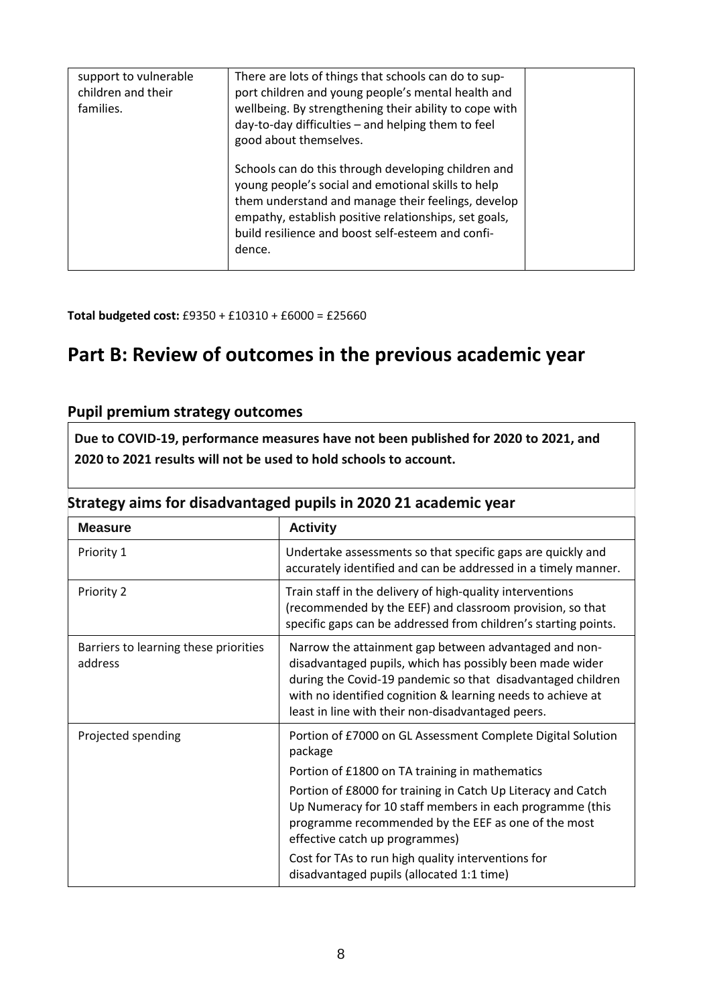| support to vulnerable<br>children and their<br>families. | There are lots of things that schools can do to sup-<br>port children and young people's mental health and<br>wellbeing. By strengthening their ability to cope with<br>day-to-day difficulties - and helping them to feel<br>good about themselves.                                    |  |
|----------------------------------------------------------|-----------------------------------------------------------------------------------------------------------------------------------------------------------------------------------------------------------------------------------------------------------------------------------------|--|
|                                                          | Schools can do this through developing children and<br>young people's social and emotional skills to help<br>them understand and manage their feelings, develop<br>empathy, establish positive relationships, set goals,<br>build resilience and boost self-esteem and confi-<br>dence. |  |

**Total budgeted cost:** £9350 + £10310 + £6000 = £25660

# **Part B: Review of outcomes in the previous academic year**

### **Pupil premium strategy outcomes**

**Due to COVID-19, performance measures have not been published for 2020 to 2021, and 2020 to 2021 results will not be used to hold schools to account.**

| <b>Measure</b>                                   | <b>Activity</b>                                                                                                                                                                                                                                                                                                                                                                                                                                  |
|--------------------------------------------------|--------------------------------------------------------------------------------------------------------------------------------------------------------------------------------------------------------------------------------------------------------------------------------------------------------------------------------------------------------------------------------------------------------------------------------------------------|
| Priority 1                                       | Undertake assessments so that specific gaps are quickly and<br>accurately identified and can be addressed in a timely manner.                                                                                                                                                                                                                                                                                                                    |
| Priority 2                                       | Train staff in the delivery of high-quality interventions<br>(recommended by the EEF) and classroom provision, so that<br>specific gaps can be addressed from children's starting points.                                                                                                                                                                                                                                                        |
| Barriers to learning these priorities<br>address | Narrow the attainment gap between advantaged and non-<br>disadvantaged pupils, which has possibly been made wider<br>during the Covid-19 pandemic so that disadvantaged children<br>with no identified cognition & learning needs to achieve at<br>least in line with their non-disadvantaged peers.                                                                                                                                             |
| Projected spending                               | Portion of £7000 on GL Assessment Complete Digital Solution<br>package<br>Portion of £1800 on TA training in mathematics<br>Portion of £8000 for training in Catch Up Literacy and Catch<br>Up Numeracy for 10 staff members in each programme (this<br>programme recommended by the EEF as one of the most<br>effective catch up programmes)<br>Cost for TAs to run high quality interventions for<br>disadvantaged pupils (allocated 1:1 time) |

### **Strategy aims for disadvantaged pupils in 2020 21 academic year**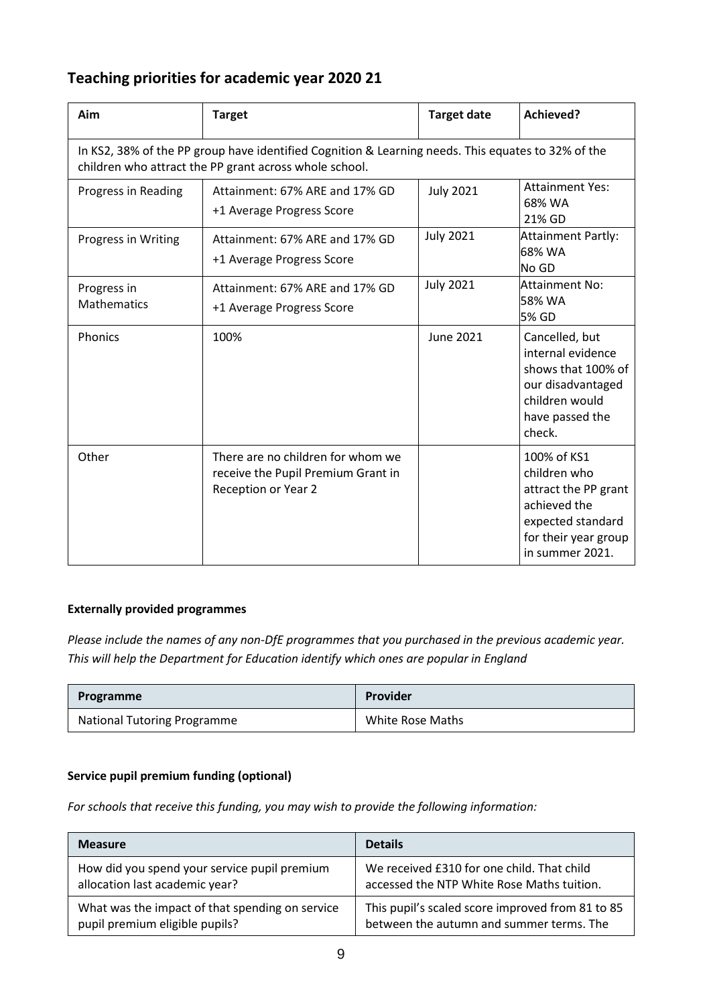## **Teaching priorities for academic year 2020 21**

| Aim                               | <b>Target</b>                                                                                                                                                | <b>Target date</b> | <b>Achieved?</b>                                                                                                                    |
|-----------------------------------|--------------------------------------------------------------------------------------------------------------------------------------------------------------|--------------------|-------------------------------------------------------------------------------------------------------------------------------------|
|                                   | In KS2, 38% of the PP group have identified Cognition & Learning needs. This equates to 32% of the<br>children who attract the PP grant across whole school. |                    |                                                                                                                                     |
| Progress in Reading               | Attainment: 67% ARE and 17% GD<br>+1 Average Progress Score                                                                                                  | <b>July 2021</b>   | <b>Attainment Yes:</b><br>68% WA<br>21% GD                                                                                          |
| Progress in Writing               | Attainment: 67% ARE and 17% GD<br>+1 Average Progress Score                                                                                                  | <b>July 2021</b>   | Attainment Partly:<br>68% WA<br>No GD                                                                                               |
| Progress in<br><b>Mathematics</b> | Attainment: 67% ARE and 17% GD<br>+1 Average Progress Score                                                                                                  | <b>July 2021</b>   | Attainment No:<br>58% WA<br>5% GD                                                                                                   |
| Phonics                           | 100%                                                                                                                                                         | June 2021          | Cancelled, but<br>internal evidence<br>shows that 100% of<br>our disadvantaged<br>children would<br>have passed the<br>check.       |
| Other                             | There are no children for whom we<br>receive the Pupil Premium Grant in<br>Reception or Year 2                                                               |                    | 100% of KS1<br>children who<br>attract the PP grant<br>achieved the<br>expected standard<br>for their year group<br>in summer 2021. |

### **Externally provided programmes**

*Please include the names of any non-DfE programmes that you purchased in the previous academic year. This will help the Department for Education identify which ones are popular in England*

| Programme                          | Provider         |
|------------------------------------|------------------|
| <b>National Tutoring Programme</b> | White Rose Maths |

### **Service pupil premium funding (optional)**

*For schools that receive this funding, you may wish to provide the following information:* 

| <b>Measure</b>                                  | <b>Details</b>                                   |
|-------------------------------------------------|--------------------------------------------------|
| How did you spend your service pupil premium    | We received £310 for one child. That child       |
| allocation last academic year?                  | accessed the NTP White Rose Maths tuition.       |
| What was the impact of that spending on service | This pupil's scaled score improved from 81 to 85 |
| pupil premium eligible pupils?                  | between the autumn and summer terms. The         |